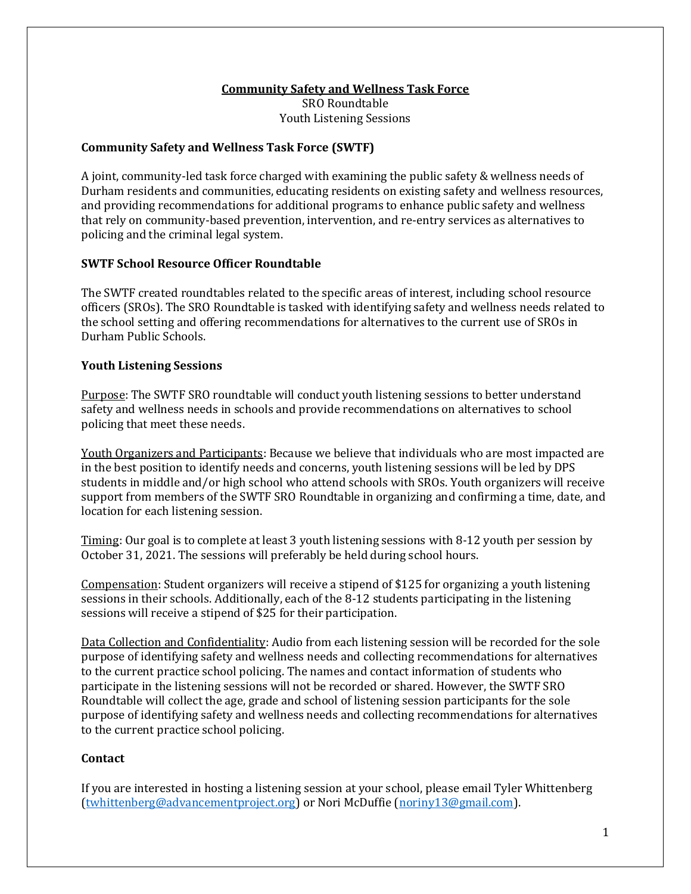## **Community Safety and Wellness Task Force**

SRO Roundtable Youth Listening Sessions

#### **Community Safety and Wellness Task Force (SWTF)**

A joint, community-led task force charged with examining the public safety & wellness needs of Durham residents and communities, educating residents on existing safety and wellness resources, and providing recommendations for additional programs to enhance public safety and wellness that rely on community-based prevention, intervention, and re-entry services as alternatives to policing and the criminal legal system.

## **SWTF School Resource Officer Roundtable**

The SWTF created roundtables related to the specific areas of interest, including school resource officers (SROs). The SRO Roundtable is tasked with identifying safety and wellness needs related to the school setting and offering recommendations for alternatives to the current use of SROs in Durham Public Schools.

## **Youth Listening Sessions**

Purpose: The SWTF SRO roundtable will conduct youth listening sessions to better understand safety and wellness needs in schools and provide recommendations on alternatives to school policing that meet these needs.

Youth Organizers and Participants: Because we believe that individuals who are most impacted are in the best position to identify needs and concerns, youth listening sessions will be led by DPS students in middle and/or high school who attend schools with SROs. Youth organizers will receive support from members of the SWTF SRO Roundtable in organizing and confirming a time, date, and location for each listening session.

Timing: Our goal is to complete at least 3 youth listening sessions with 8-12 youth per session by October 31, 2021. The sessions will preferably be held during school hours.

Compensation: Student organizers will receive a stipend of \$125 for organizing a youth listening sessions in their schools. Additionally, each of the 8-12 students participating in the listening sessions will receive a stipend of \$25 for their participation.

Data Collection and Confidentiality: Audio from each listening session will be recorded for the sole purpose of identifying safety and wellness needs and collecting recommendations for alternatives to the current practice school policing. The names and contact information of students who participate in the listening sessions will not be recorded or shared. However, the SWTF SRO Roundtable will collect the age, grade and school of listening session participants for the sole purpose of identifying safety and wellness needs and collecting recommendations for alternatives to the current practice school policing.

#### **Contact**

If you are interested in hosting a listening session at your school, please email Tyler Whittenberg [\(twhittenberg@advancementproject.org\)](mailto:twhittenberg@advancementproject.org) or Nori McDuffie [\(noriny13@gmail.com\)](mailto:noriny13@gmail.com).